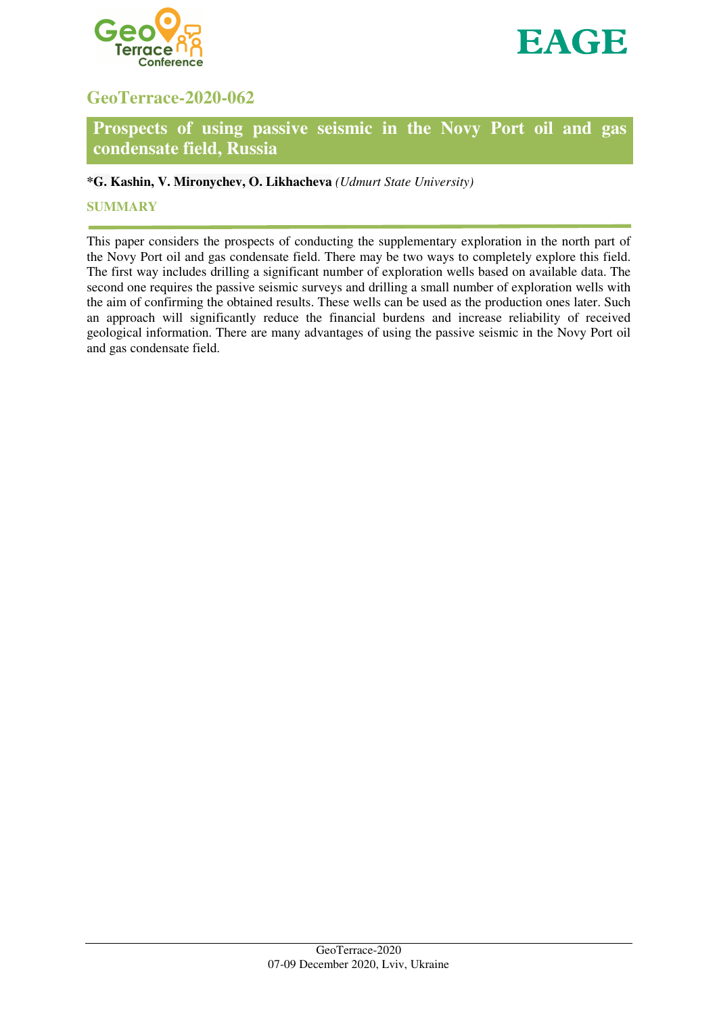



# **GeoTerrace-2020-062**

## **Prospects of using passive seismic in the Novy Port oil and gas condensate field, Russia**

## **\*G. Kashin, V. Mironychev, O. Likhacheva** *(Udmurt State University)*

## **SUMMARY**

This paper considers the prospects of conducting the supplementary exploration in the north part of the Novy Port oil and gas condensate field. There may be two ways to completely explore this field. The first way includes drilling a significant number of exploration wells based on available data. The second one requires the passive seismic surveys and drilling a small number of exploration wells with the aim of confirming the obtained results. These wells can be used as the production ones later. Such an approach will significantly reduce the financial burdens and increase reliability of received geological information. There are many advantages of using the passive seismic in the Novy Port oil and gas condensate field.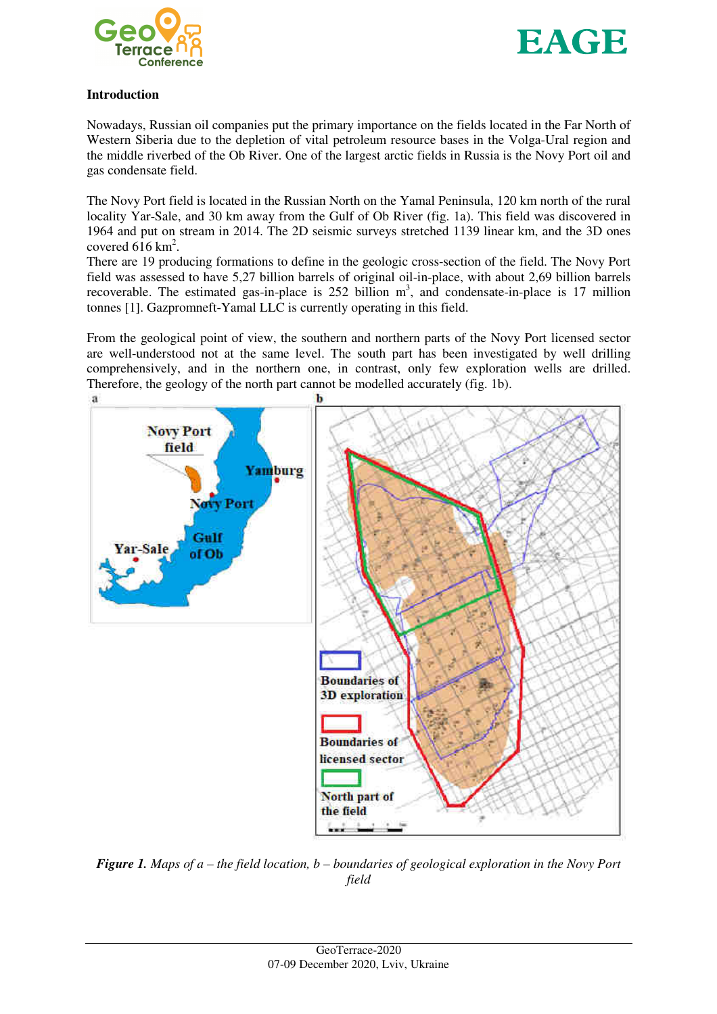



#### **Introduction**

Nowadays, Russian oil companies put the primary importance on the fields located in the Far North of Western Siberia due to the depletion of vital petroleum resource bases in the Volga-Ural region and the middle riverbed of the Ob River. One of the largest arctic fields in Russia is the Novy Port oil and gas condensate field.

The Novy Port field is located in the Russian North on the Yamal Peninsula, 120 km north of the rural locality Yar-Sale, and 30 km away from the Gulf of Ob River (fig. 1a). This field was discovered in 1964 and put on stream in 2014. The 2D seismic surveys stretched 1139 linear km, and the 3D ones covered  $616 \text{ km}^2$ .

There are 19 producing formations to define in the geologic cross-section of the field. The Novy Port field was assessed to have 5,27 billion barrels of original oil-in-place, with about 2,69 billion barrels recoverable. The estimated gas-in-place is  $252$  billion  $m<sup>3</sup>$ , and condensate-in-place is 17 million tonnes [1]. Gazpromneft-Yamal LLC is currently operating in this field.

From the geological point of view, the southern and northern parts of the Novy Port licensed sector are well-understood not at the same level. The south part has been investigated by well drilling comprehensively, and in the northern one, in contrast, only few exploration wells are drilled. Therefore, the geology of the north part cannot be modelled accurately (fig. 1b).



*Figure 1. Maps of a – the field location, b – boundaries of geological exploration in the Novy Port field*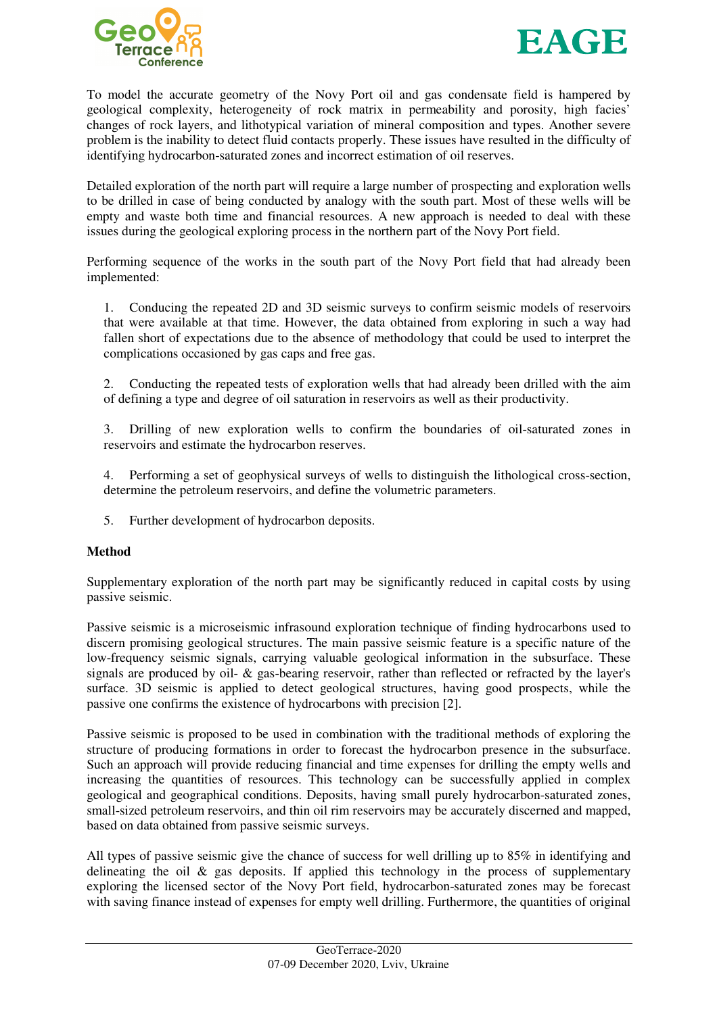



To model the accurate geometry of the Novy Port oil and gas condensate field is hampered by geological complexity, heterogeneity of rock matrix in permeability and porosity, high facies' changes of rock layers, and lithotypical variation of mineral composition and types. Another severe problem is the inability to detect fluid contacts properly. These issues have resulted in the difficulty of identifying hydrocarbon-saturated zones and incorrect estimation of oil reserves.

Detailed exploration of the north part will require a large number of prospecting and exploration wells to be drilled in case of being conducted by analogy with the south part. Most of these wells will be empty and waste both time and financial resources. A new approach is needed to deal with these issues during the geological exploring process in the northern part of the Novy Port field.

Performing sequence of the works in the south part of the Novy Port field that had already been implemented:

1. Conducing the repeated 2D and 3D seismic surveys to confirm seismic models of reservoirs that were available at that time. However, the data obtained from exploring in such a way had fallen short of expectations due to the absence of methodology that could be used to interpret the complications occasioned by gas caps and free gas.

2. Conducting the repeated tests of exploration wells that had already been drilled with the aim of defining a type and degree of oil saturation in reservoirs as well as their productivity.

3. Drilling of new exploration wells to confirm the boundaries of oil-saturated zones in reservoirs and estimate the hydrocarbon reserves.

4. Performing a set of geophysical surveys of wells to distinguish the lithological cross-section, determine the petroleum reservoirs, and define the volumetric parameters.

5. Further development of hydrocarbon deposits.

## **Method**

Supplementary exploration of the north part may be significantly reduced in capital costs by using passive seismic.

Passive seismic is a microseismic infrasound exploration technique of finding hydrocarbons used to discern promising geological structures. The main passive seismic feature is a specific nature of the low-frequency seismic signals, carrying valuable geological information in the subsurface. These signals are produced by oil- & gas-bearing reservoir, rather than reflected or refracted by the layer's surface. 3D seismic is applied to detect geological structures, having good prospects, while the passive one confirms the existence of hydrocarbons with precision [2].

Passive seismic is proposed to be used in combination with the traditional methods of exploring the structure of producing formations in order to forecast the hydrocarbon presence in the subsurface. Such an approach will provide reducing financial and time expenses for drilling the empty wells and increasing the quantities of resources. This technology can be successfully applied in complex geological and geographical conditions. Deposits, having small purely hydrocarbon-saturated zones, small-sized petroleum reservoirs, and thin oil rim reservoirs may be accurately discerned and mapped, based on data obtained from passive seismic surveys.

All types of passive seismic give the chance of success for well drilling up to 85% in identifying and delineating the oil  $\&$  gas deposits. If applied this technology in the process of supplementary exploring the licensed sector of the Novy Port field, hydrocarbon-saturated zones may be forecast with saving finance instead of expenses for empty well drilling. Furthermore, the quantities of original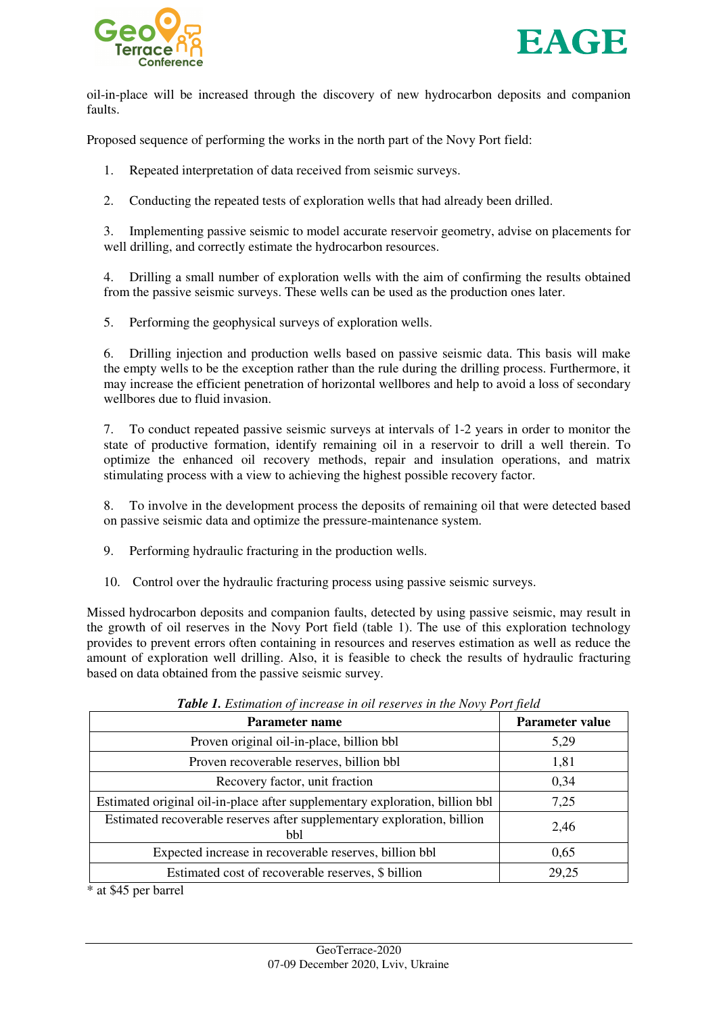



oil-in-place will be increased through the discovery of new hydrocarbon deposits and companion faults.

Proposed sequence of performing the works in the north part of the Novy Port field:

- 1. Repeated interpretation of data received from seismic surveys.
- 2. Conducting the repeated tests of exploration wells that had already been drilled.

3. Implementing passive seismic to model accurate reservoir geometry, advise on placements for well drilling, and correctly estimate the hydrocarbon resources.

4. Drilling a small number of exploration wells with the aim of confirming the results obtained from the passive seismic surveys. These wells can be used as the production ones later.

5. Performing the geophysical surveys of exploration wells.

6. Drilling injection and production wells based on passive seismic data. This basis will make the empty wells to be the exception rather than the rule during the drilling process. Furthermore, it may increase the efficient penetration of horizontal wellbores and help to avoid a loss of secondary wellbores due to fluid invasion.

7. To conduct repeated passive seismic surveys at intervals of 1-2 years in order to monitor the state of productive formation, identify remaining oil in a reservoir to drill a well therein. To optimize the enhanced oil recovery methods, repair and insulation operations, and matrix stimulating process with a view to achieving the highest possible recovery factor.

8. To involve in the development process the deposits of remaining oil that were detected based on passive seismic data and optimize the pressure-maintenance system.

- 9. Performing hydraulic fracturing in the production wells.
- 10. Control over the hydraulic fracturing process using passive seismic surveys.

Missed hydrocarbon deposits and companion faults, detected by using passive seismic, may result in the growth of oil reserves in the Novy Port field (table 1). The use of this exploration technology provides to prevent errors often containing in resources and reserves estimation as well as reduce the amount of exploration well drilling. Also, it is feasible to check the results of hydraulic fracturing based on data obtained from the passive seismic survey.

| Parameter name                                                                 | <b>Parameter value</b> |
|--------------------------------------------------------------------------------|------------------------|
| Proven original oil-in-place, billion bbl                                      | 5,29                   |
| Proven recoverable reserves, billion bbl                                       | 1,81                   |
| Recovery factor, unit fraction                                                 | 0,34                   |
| Estimated original oil-in-place after supplementary exploration, billion bbl   | 7,25                   |
| Estimated recoverable reserves after supplementary exploration, billion<br>bbl | 2,46                   |
| Expected increase in recoverable reserves, billion bbl                         | 0,65                   |
| Estimated cost of recoverable reserves, \$ billion                             | 29,25                  |

*Table 1. Estimation of increase in oil reserves in the Novy Port field* 

\* at \$45 per barrel